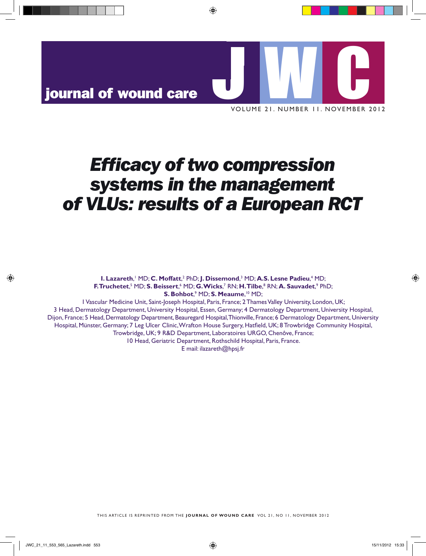VOLUME 21. NUMBER 11. NOVEMBER 2012<br>V W C CONTRESS IN NOVEMBER 3

# *Efficacy of two compression systems in the management of VLUs: results of a European RCT*

◈

**I. Lazareth**, <sup>1</sup> MD; **C. Moffatt**, <sup>2</sup> PhD; **J. Dissemond**, <sup>3</sup> MD; **A.S. Lesne Padieu**, <sup>4</sup> MD; **F. Truchetet**, <sup>5</sup> MD; **S. Beissert**, <sup>6</sup> MD; **G. Wicks**, <sup>7</sup> RN; **H. Tilbe**, <sup>8</sup> RN; **A. Sauvadet**, <sup>9</sup> PhD; **S. Bohbot**, <sup>9</sup> MD; **S. Meaume**, <sup>10</sup> MD; 1 Vascular Medicine Unit, Saint-Joseph Hospital, Paris, France; 2 Thames Valley University, London, UK;

3 Head, Dermatology Department, University Hospital, Essen, Germany; 4 Dermatology Department, University Hospital, Dijon, France; 5 Head, Dermatology Department, Beauregard Hospital, Thionville, France; 6 Dermatology Department, University Hospital, Münster, Germany; 7 Leg Ulcer Clinic, Wrafton House Surgery, Hatfield, UK; 8 Trowbridge Community Hospital, Trowbridge, UK; 9 R&D Department, Laboratoires URGO, Chenôve, France; 10 Head, Geriatric Department, Rothschild Hospital, Paris, France.

E mail: ilazareth@hpsj.fr

THIS ARTICLE IS REPRINTED FROM THE **JOURNAL OF WOUND CARE** VOL 21, NO 11, NOVEMBER 2012

⊕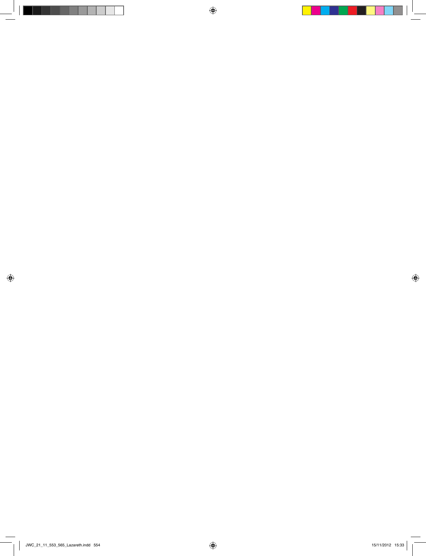

 $\bigoplus$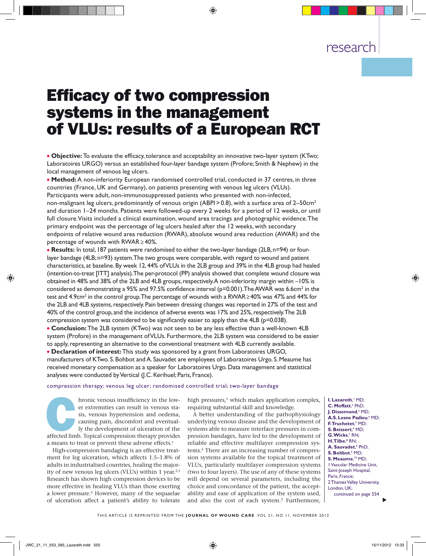### research

# Efficacy of two compression systems in the management of VLUs: results of a European RCT

◈

<sup>l</sup>**Objective:** To evaluate the efficacy, tolerance and acceptability an innovative two-layer system (KTwo; Laboratoires URGO) versus an established four-layer bandage system (Profore; Smith & Nephew) in the local management of venous leg ulcers.

**Method:** A non-inferiority European randomised controlled trial, conducted in 37 centres, in three countries (France, UK and Germany), on patients presenting with venous leg ulcers (VLUs). Participants were adult, non-immunosuppressed patients who presented with non-infected, non-malignant leg ulcers, predominantly of venous origin (ABPI $> 0.8$ ), with a surface area of 2–50cm<sup>2</sup> and duration 1–24 months. Patients were followed-up every 2 weeks for a period of 12 weeks, or until full closure. Visits included a clinical examination, wound area tracings and photographic evidence. The primary endpoint was the percentage of leg ulcers healed after the 12 weeks, with secondary endpoints of relative wound area reduction (RWAR), absolute wound area reduction (AWAR) and the percentage of wounds with RWAR ≥ 40%.

**Results:** In total, 187 patients were randomised to either the two-layer bandage (2LB, n=94) or fourlayer bandage (4LB; n=93) system. The two groups were comparable, with regard to wound and patient characteristics, at baseline. By week 12, 44% of VLUs in the 2LB group and 39% in the 4LB group had healed (intention-to-treat [ITT] analysis). The per-protocol (PP) analysis showed that complete wound closure was obtained in 48% and 38% of the 2LB and 4LB groups, respectively. A non-inferiority margin within –10% is considered as demonstrating a 95% and 97.5% confidence interval ( $p=0.001$ ). The AWAR was 6.6cm<sup>2</sup> in the test and 4.9cm $^2$  in the control group.The percentage of wounds with a RWAR ≥40% was 47% and 44% for the 2LB and 4LB systems, respectively. Pain between dressing changes was reported in 27% of the test and 40% of the control group, and the incidence of adverse events was 17% and 25%, respectively. The 2LB compression system was considered to be significantly easier to apply than the 4LB (p=0.038).

<sup>l</sup> **Conclusion:** The 2LB system (KTwo) was not seen to be any less effective than a well-known 4LB system (Profore) in the management of VLUs. Furthermore, the 2LB system was considered to be easier to apply, representing an alternative to the conventional treatment with 4LB currently available.

**• Declaration of interest:** This study was sponsored by a grant from Laboratoires URGO, manufacturers of KTwo. S. Bohbot and A. Sauvadet are employees of Laboratoires Urgo. S. Meaume has received monetary compensation as a speaker for Laboratoires Urgo. Data management and statistical analyses were conducted by Vertical (J.C. Kerihuel; Paris, France).

### compression therapy; venous leg ulcer; randomised controlled trial; two-layer bandage

hronic venous insufficiency in the low-<br>er extremities can result in venous sta-<br>sis, venous hypertension and oedema,<br>causing pain, discomfort and eventual-<br>ly the development of ulceration of the<br>affected limb. Topical co er extremities can result in venous stasis, venous hypertension and oedema, causing pain, discomfort and eventually the development of ulceration of the a means to treat or prevent these adverse effects.<sup>1</sup>

High-compression bandaging is an effective treatment for leg ulceration, which affects 1.5–1.8% of adults in industrialised countries, healing the majority of new venous leg ulcers (VLUs) within 1 year.<sup>2,3</sup> Research has shown high compression devices to be more effective in healing VLUs than those exerting a lower pressure.4 However, many of the sequaelae of ulceration affect a patient's ability to tolerate

high pressures,<sup>5</sup> which makes application complex, requiring substantial skill and knowledge.

A better understanding of the pathophysiology underlying venous disease and the development of systems able to measure interface pressures in compression bandages, have led to the development of reliable and effective multilayer compression systems.6 There are an increasing number of compression systems available for the topical treatment of VLUs, particularly multilayer compression systems (two to four layers). The use of any of these systems will depend on several parameters, including the choice and concordance of the patient, the acceptability and ease of application of the system used, and also the cost of each system.2 Furthermore,

**I. Lazareth**, <sup>1</sup> MD; **C. Moffatt**, <sup>2</sup> PhD; **J. Dissemond**, <sup>3</sup> MD; **A.S. Lesne Padieu**, <sup>4</sup> MD; **F. Truchetet**, <sup>5</sup> MD; **S. Beissert**, <sup>6</sup> MD; **G. Wicks**, <sup>7</sup> RN; **H. Tilbe**, <sup>8</sup> RN; A. Sauvadet,<sup>9</sup> PhD; **S. Bohbot**, <sup>9</sup> MD; **S. Meaume**, <sup>10</sup> MD; 1 Vascular Medicine Unit, Saint-Joseph Hospital, Paris, France; 2 Thames Valley University, London, UK; continued on page 554

THIS ARTICLE IS REPRINTED FROM THE **JOURNAL OF WOUND CARE** VOL 21, NO 11, NOVEMBER 2012

⊕

s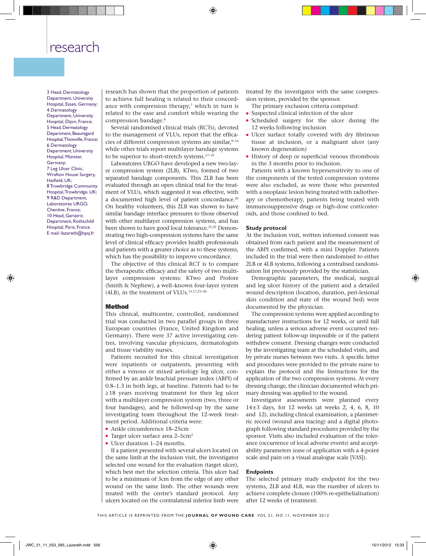⊕

### research

3 Head, Dermatology Department, University Hospital, Essen, Germany; 4 Dermatology Department, University Hospital, Dijon, France; 5 Head, Dermatology Department, Beauregard Hospital, Thionville, France; 6 Dermatology Department, University Hospital, Münster, Germany; 7 Leg Ulcer Clinic, Wrafton House Surgery, Hatfield, UK; 8 Trowbridge Community Hospital, Trowbridge, UK; 9 R&D Department, Laboratoires URGO, Chenôve, France; 10 Head, Geriatric Department, Rothschild Hospital, Paris, France. E mail: ilazareth@hpsj.fr

research has shown that the proportion of patients to achieve full healing is related to their concordance with compression therapy, $7$  which in turn is related to the ease and comfort while wearing the compression bandage.8

Several randomised clinical trials (RCTs), devoted to the management of VLUs, report that the efficacies of different compression systems are similar,  $9-16$ while other trials report multilayer bandage systems to be superior to short-stretch systems.17–19

Laboratoires URGO have developed a new two-layer compression system (2LB), KTwo, formed of two separated bandage components. This 2LB has been evaluated through an open clinical trial for the treatment of VLUs, which suggested it was effective, with a documented high level of patient concordance.<sup>20</sup> On healthy volunteers, this 2LB was shown to have similar bandage interface pressures to those observed with other multilayer compression systems, and has been shown to have good local tolerance.<sup>21,22</sup> Demonstrating two high-compression systems have the same level of clinical efficacy provides health professionals and patients with a greater choice as to these systems, which has the possibility to improve concordance.

The objective of this clinical RCT is to compare the therapeutic efficacy and the safety of two multilayer compression systems: KTwo and Profore (Smith & Nephew), a well–known four-layer system (4LB), in the treatment of VLUs. $13,17,23-26$ 

#### Method

This clinical, multicentre, controlled, randomised trial was conducted in two parallel groups in three European countries (France, United Kingdom and Germany). There were 37 active investigating centres, involving vascular physicians, dermatologists and tissue viability nurses.

Patients recruited for this clinical investigation were inpatients or outpatients, presenting with either a venous or mixed aetiology leg ulcer, confirmed by an ankle brachial pressure index (ABPI) of 0.8–1.3 in both legs, at baseline. Patients had to be ≥18 years receiving treatment for their leg ulcer with a multilayer compression system (two, three or four bandages), and be followed-up by the same investigating team throughout the 12-week treatment period. Additional criteria were:

- Ankle circumference 18-25cm
- $\bullet$  Target ulcer surface area 2–5cm<sup>2</sup>
- Ulcer duration 1–24 months.

If a patient presented with several ulcers located on the same limb at the inclusion visit, the investigator selected one wound for the evaluation (target ulcer), which best met the selection criteria. This ulcer had to be a minimum of 3cm from the edge of any other wound on the same limb. The other wounds were treated with the centre's standard protocol. Any ulcers located on the contralateral inferior limb were

treated by the investigator with the same compression system, provided by the sponsor.

- The primary exclusion criteria comprised:
- Suspected clinical infection of the ulcer
- Scheduled surgery for the ulcer during the 12 weeks following inclusion
- Ulcer surface totally covered with dry fibrinous tissue at inclusion, or a malignant ulcer (any known degeneration)
- History of deep or superficial venous thrombosis in the 3 months prior to inclusion.

Patients with a known hypersensitivity to one of the components of the tested compression systems were also excluded, as were those who presented with a neoplasic lesion being treated with radiotherapy or chemotherapy, patients being treated with immunosuppressive drugs or high-dose corticosteroids, and those confined to bed.

### **Study protocol**

At the inclusion visit, written informed consent was obtained from each patient and the measurement of the ABPI confirmed, with a mini Doppler. Patients included in the trial were then randomised to either 2LB or 4LB systems, following a centralised randomisation list previously provided by the statistician.

Demographic parameters, the medical, surgical and leg ulcer history of the patient and a detailed wound description (location, duration, peri-lesional skin condition and state of the wound bed) were documented by the physician.

The compression systems were applied according to manufacturer instructions for 12 weeks, or until full healing, unless a serious adverse event occurred rendering patient follow-up impossible or if the patient withdrew consent. Dressing changes were conducted by the investigating team at the scheduled visits, and by private nurses between two visits. A specific letter and procedures were provided to the private nurse to explain the protocol and the Instructions for the application of the two compression systems. At every dressing change, the clinician documented which primary dressing was applied to the wound.

Investigator assessments were planned every 14 $\pm$ 3 days, for 12 weeks (at weeks 2, 4, 6, 8, 10 and 12), including clinical examination, a planimetric record (wound area tracing) and a digital photograph following standard procedures provided by the sponsor. Visits also included evaluation of the tolerance (occurrence of local adverse events) and acceptability parameters (ease of application with a 4-point scale and pain on a visual analogue scale [VAS]).

### **Endpoints**

The selected primary study endpoint for the two systems, 2LB and 4LB, was the number of ulcers to achieve complete closure (100% re-epithelialisation) after 12 weeks of treatment.

THIS ARTICLE IS REPRINTED FROM THE **JOURNAL OF WOUND CARE** VOL 21, NO 11, NOVEMBER 2012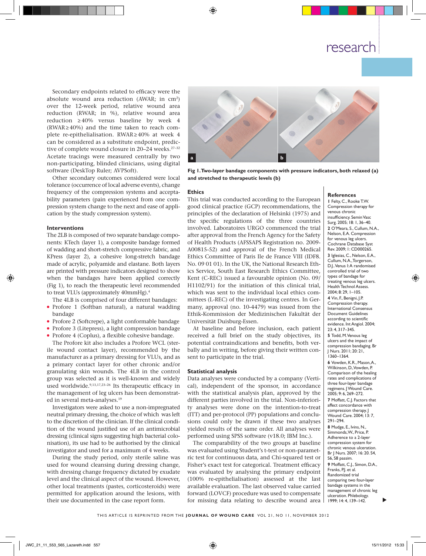### research

Secondary endpoints related to efficacy were the absolute wound area reduction (AWAR; in cm<sup>2</sup>) over the 12-week period, relative wound area reduction (RWAR; in %), relative wound area reduction ≥ 40% versus baseline by week 4 (RWAR≥ 40%) and the time taken to reach complete re-epithelialisation. RWAR≥ 40% at week 4 can be considered as a substitute endpoint, predictive of complete wound closure in 20-24 weeks.<sup>27-32</sup> Acetate tracings were measured centrally by two non-participating, blinded clinicians, using digital software (DeskTop Ruler; AVPSoft).

Other secondary outcomes considered were local tolerance (occurrence of local adverse events), change frequency of the compression systems and acceptability parameters (pain experienced from one compression system change to the next and ease of application by the study compression system).

### **Interventions**

The 2LB is composed of two separate bandage components: KTech (layer 1), a composite bandage formed of wadding and short-stretch compressive fabric, and KPress (layer 2), a cohesive long-stretch bandage made of acrylic, polyamide and elastane. Both layers are printed with pressure indicators designed to show when the bandages have been applied correctly (Fig 1), to reach the therapeutic level recommended to treat VLUs (approximately 40mmHg).4

The 4LB is comprised of four different bandages:

- Profore 1 (Softban natural), a natural wadding bandage
- Profore 2 (Softcrepe), a light conformable bandage
- Profore 3 (Litepress), a light compression bandage
- Profore 4 (Coplus), a flexible cohesive bandage.

The Profore kit also includes a Profore WCL (sterile wound contact layer), recommended by the manufacturer as a primary dressing for VLUs, and as a primary contact layer for other chronic and/or granulating skin wounds. The 4LB in the control group was selected as it is well-known and widely used worldwide.9,13,17,23–26 Its therapeutic efficacy in the management of leg ulcers has been demonstrated in several meta-analyses.<sup>19</sup>

Investigators were asked to use a non-impregnated neutral primary dressing, the choice of which was left to the discretion of the clinician. If the clinical condition of the wound justified use of an antimicrobial dressing (clinical signs suggesting high bacterial colonisation), its use had to be authorised by the clinical investigator and used for a maximum of 4 weeks.

During the study period, only sterile saline was used for wound cleansing during dressing change, with dressing change frequency dictated by exudate level and the clinical aspect of the wound. However, other local treatments (pastes, corticosteroids) were permitted for application around the lesions, with their use documented in the case report form.



**Fig 1. Two-layer bandage components with pressure indicators, both relaxed (a) and stretched to therapeutic levels (b)**

#### **Ethics**

This trial was conducted according to the European good clinical practice (GCP) recommendations, the principles of the declaration of Helsinki (1975) and the specific regulations of the three countries involved. Laboratoires URGO commenced the trial after approval from the French Agency for the Safety of Health Products (AFSSAPS Registration no. 2009- A00815-52) and approval of the French Medical Ethics Committee of Paris Ile de France VIII (IDF8. No. 09 01 01). In the UK, the National Research Ethics Service, South East Research Ethics Committee, Kent (C-REC) issued a favourable opinion (No. 09/ H1102/91) for the initiation of this clinical trial, which was sent to the individual local ethics committees (L-REC) of the investigating centres. In Germany, approval (no. 10-4479) was issued from the Ethik-Kommission der Medizinischen Fakultät der Universität Duisburg-Essen.

At baseline and before inclusion, each patient received a full brief on the study objectives, its potential contraindications and benefits, both verbally and in writing, before giving their written consent to participate in the trial.

#### **Statistical analysis**

Data analyses were conducted by a company (Vertical), independent of the sponsor, in accordance with the statistical analysis plan, approved by the different parties involved in the trial. Non-inferiority analyses were done on the intention-to-treat (ITT) and per-protocol (PP) populations and conclusions could only be drawn if these two analyses yielded results of the same order. All analyses were performed using SPSS software (v18.0; IBM Inc.).

The comparability of the two groups at baseline was evaluated using Student's t-test or non-parametric test for continuous data, and Chi-squared test or Fisher's exact test for categorical. Treatment efficacy was evaluated by analysing the primary endpoint (100% re-epithelialisation) assessed at the last available evaluation. The last observed value carried forward (LOVCF) procedure was used to compensate for missing data relating to describe wound area

#### **References**

**1** Felty, C., Rooke T.W. Compression therapy for venous chronic insufficiency. Semin Vasc Surg. 2005; 18: 1, 36–40. **2** O'Meara, S., Cullum, N.A., Nelson, E.A. Compression for venous leg ulcers. Cochrane Database Syst Rev. 2009; 1: CD000265. **3** Iglesias, C., Nelson, E.A., Cullum, N.A., Torgerson, D.J.. Venus I: A randomised controlled trial of two types of bandage for treating venous leg ulcers. Health Technol Assess. 2004; 8: 29, 1–105. **4** Vin, F., Benigni, J.P. Compression therapy. International Consensus Document Guidelines according to scientific evidence. Int Angiol. 2004; 23: 4, 317–345. **5** Todd, M. Venous leg ulcers and the impact of compression bandaging. Br J Nurs. 2011; 20: 21, 1360–1364. **6** Vowden, K.R., Mason, A., Wilkinson, D., Vowden, P. Comparison of the healing rates and complications of three four-layer bandage regimens. J Wound Care. 2005; 9: 6, 269–272. **7** Moffatt, C.J. Factors that affect concordance with compression therapy. J Wound Care. 2004; 13: 7, 291–294. **8** Mudge, E., Ivins, N., Simmonds, W., Price, P. Adherence to a 2-layer compression system for chronic venous ulceration. Br J Nurs. 2007; 16: 20. S4, S6, S8 passim. **9** Moffatt, C.J., Simon, D.A.,

⊕

Franks, P.J. et al. Randomized trial comparing two four-layer bandage systems in the management of chronic leg ulceration. Phlebology. 1999; 14: 4, 139–142.

THIS ARTICLE IS REPRINTED FROM THE **JOURNAL OF WOUND CARE** VOL 21, NO 11, NOVEMBER 2012

s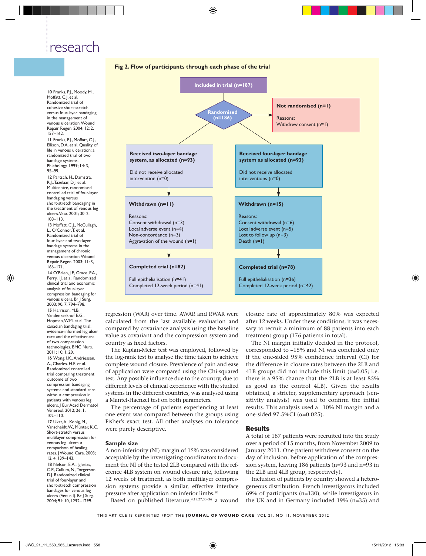## research



regression (WAR) over time. AWAR and RWAR were calculated from the last available evaluation and compared by covariance analysis using the baseline value as covariant and the compression system and country as fixed factors.

The Kaplan-Meier test was employed, followed by the log-rank test to analyse the time taken to achieve complete wound closure. Prevalence of pain and ease of application were compared using the Chi-squared test. Any possible influence due to the country, due to different levels of clinical experience with the studied systems in the different countries, was analysed using a Mantel-Haenzel test on both parameters.

The percentage of patients experiencing at least one event was compared between the groups using Fisher's exact test. All other analyses on tolerance were purely descriptive.

#### **Sample size**

A non-inferiority (NI) margin of 15% was considered acceptable by the investigating coordinators to document the NI of the tested 2LB compared with the reference 4LB system on wound closure rate, following 12 weeks of treatment, as both multilayer compression systems provide a similar, effective interface pressure after application on inferior limbs.20

Based on published literature, 4,18,27,33-36 a wound

closure rate of approximately 80% was expected after 12 weeks. Under these conditions, it was necessary to recruit a minimum of 88 patients into each treatment group (176 patients in total).

The NI margin initially decided in the protocol, corresponded to –15% and NI was concluded only if the one-sided 95% confidence interval (CI) for the difference in closure rates between the 2LB and 4LB groups did not include this limit ( $\alpha$ =0.05; i.e. there is a 95% chance that the 2LB is at least 85% as good as the control 4LB). Given the results obtained, a stricter, supplementary approach (sensitivity analysis) was used to confirm the initial results. This analysis used a –10% NI margin and a one-sided 97.5%CI ( $α=0.025$ ).

### Results

A total of 187 patients were recruited into the study over a period of 15 months, from November 2009 to January 2011. One patient withdrew consent on the day of inclusion, before application of the compression system, leaving 186 patients (n=93 and n=93 in the 2LB and 4LB group, respectively).

Inclusion of patients by country showed a heterogeneous distribution. French investigators included 69% of participants (n=130), while investigators in the UK and in Germany included 19% (n=35) and

THIS ARTICLE IS REPRINTED FROM THE **JOURNAL OF WOUND CARE** VOL 21, NO 11, NOVEMBER 2012

Moffatt, C.J. et al. Randomized trial of cohesive short-stretch versus four-layer bandaging in the management of venous ulceration. Wound Repair Regen. 2004; 12: 2, 157–162.

**11** Franks, P.I., Moffatt, C.I., Ellison, D.A. et al. Quality of life in venous ulceration: a randomized trial of two bandage systems. Phlebology. 1999; 14: 3, 95–99.

**12** Partsch, H., Damstra, R.J., Tazelaar, D.J. et al. Multicentre, randomised controlled trial of four-layer bandaging versus short-stretch bandaging in the treatment of venous leg ulcers. Vasa. 2001; 30: 2,

108–113. **13** Moffatt, C.J., McCullagh, L., O'Connor, T. et al. Randomized trial of four-layer and two-layer bandage systems in the management of chronic venous ulceration. Wound Repair Regen. 2003; 11: 3, 166–171.

⊕

**14** O'Brien, J.F., Grace, P.A., Perry, I.J. et al. Randomized clinical trial and economic analysis of four-layer compression bandaging for venous ulcers. Br J Surg. 2003; 90: 7, 794–798. **15** Harrison, M.B., Vandenkerkhof E.G. Hopman, W.M. et al. The canadian bandaging trial: evidence-informed leg ulcer care and the effectiveness of two compression technologies. BMC Nurs. 2011; 10: 1, 20.

**16** Wong, I.K., Andriessen, A., Charles. H.E. et al. Randomized controlled trial comparing treatment outcome of two compression bandaging systems and standard care without compression in patients with venous leg ulcers. J Eur Acad Dermatol Venereol. 2012; 26: 1, 102–110.

**17** Ukat, A., Konig, M., Vanscheidt, W., Münter, K.C. Short-stretch versus multilayer compression for venous leg ulcers: a comparison of healing rates. J Wound Care. 2003; 12: 4, 139–143. **18** Nelson, E.A., Iglesias, C.P., Cullum, N., Torgerson, D.J. Randomized clinical trial of four-layer and short-stretch compression bandages for venous leg ulcers (Venus I). Br J Surg. 2004; 91: 10, 1292–1299.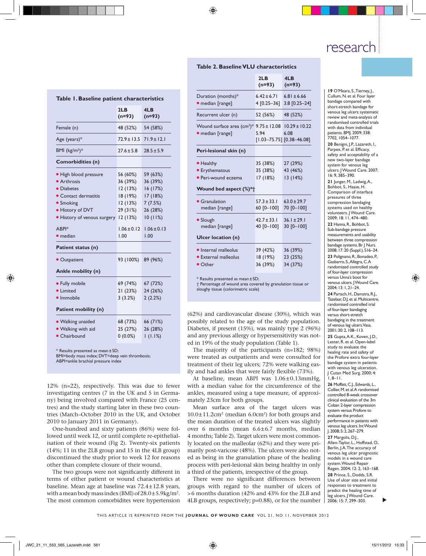### research

**19** O'Meara, S., Tierney, J.,

### **Table 2. Baseline VLU characteristics**

|                                      | 2LB<br>$(n=93)$ | 4LB<br>$(n=93)$ |
|--------------------------------------|-----------------|-----------------|
| Female (n)                           | 48 (52%)        | 54 (58%)        |
| Age (years)*                         | $72.9 \pm 13.5$ | $71.9 \pm 12.1$ |
| BMI $(kg/m2)*$                       | $27.6 \pm 5.8$  | $28.5 \pm 5.9$  |
| <b>Comorbidities (n)</b>             |                 |                 |
| · High blood pressure                | 56 (60%)        | 59 (63%)        |
| <b>•</b> Arthrosis                   | 36 (39%)        | 36 (39%)        |
| • Diabetes                           | 12(13%)         | 16(17%)         |
| • Contact dermatitis                 | 18 (19%)        | 17(18%)         |
| • Smoking                            | 12(13%)         | 7(7.5%)         |
| · History of DVT                     | 29 (31%)        | 26 (28%)        |
| • History of venous surgery 12 (13%) |                 | 10(11%)         |
| ABPI*                                | $1.06 \pm 0.12$ | $1.06 \pm 0.13$ |
| $\bullet$ median                     | 1.00            | 1.00            |
| Patient status (n)                   |                 |                 |
| • Outpatient                         | 93 (100%)       | 89 (96%)        |
| Ankle mobility (n)                   |                 |                 |
| • Fully mobile                       | 69 (74%)        | 67 (72%)        |
| • Limited                            | 21(23%)         | 24 (26%)        |
| · Immobile                           | 3(3.2%)         | 2(2.2%)         |
| Patient mobility (n)                 |                 |                 |
| · Walking unaided                    | 68 (73%)        | 66 (71%)        |
| · Walking with aid                   | 25 (27%)        | 26 (28%)        |
| • Chairbound                         | $0(0.0\%)$      | 1(1.1%)         |

BMI=body mass index; DVT=deep vein thrombosis; ABPI=ankle brachial pressure index

12% (n=22), respectively. This was due to fewer investigating centres (7 in the UK and 5 in Germany) being involved compared with France (25 centres) and the study starting later in these two countries (March–October 2010 in the UK, and October 2010 to January 2011 in Germany).

One-hundred and sixty patients (86%) were followed until week 12, or until complete re-epithelialisation of their wound (Fig 2). Twenty-six patients (14%; 11 in the 2LB group and 15 in the 4LB group) discontinued the study prior to week 12 for reasons other than complete closure of their wound.

The two groups were not significantly different in terms of either patient or wound characteristics at baseline. Mean age at baseline was 72.4±12.8 years, with a mean body mass index (BMI) of  $28.0 \pm 5.9$  kg/m<sup>2</sup>. The most common comorbidites were hypertension

|                                                                                             | 2LB<br>$(n=93)$                    | 4LB<br>$(n=93)$                           |
|---------------------------------------------------------------------------------------------|------------------------------------|-------------------------------------------|
| Duration (months)*<br>· median [range]                                                      | $6.42 \pm 6.71$<br>$4 [0.25 - 36]$ | $6.81 \pm 6.66$<br>3.8 [0.25-24]          |
| Recurrent ulcer (n)                                                                         | 52 (56%)                           | 48 (52%)                                  |
| Wound surface area $(cm^2)^* 9.75 \pm 12.08 10.29 \pm 10.22$<br>· median [range]            | 5.94                               | 6.08<br>$[1.03 - 75.75]$ $[0.38 - 46.08]$ |
| Peri-lesional skin (n)                                                                      |                                    |                                           |
| $\bullet$ Healthy<br><b>• Erythematous</b><br>· Peri-wound eczema<br>Wound bed aspect (%)*† | 35 (38%)<br>35 (38%)<br>17(18%)    | 27 (29%)<br>43 (46%)<br>13(14%)           |
| • Granulation<br>median [range]                                                             | $57.3 \pm 33.1$<br>60 [0-100]      | $63.0 \pm 29.7$<br>70 [0-100]             |
| • Slough<br>median [range]<br>Ulcer location (n)                                            | $42.7 \pm 33.1$<br>40 [0-100]      | $36.1 \pm 29.1$<br>30 [0-100]             |
| • Internal malleolus<br><b>• External malleolus</b><br>$\bullet$ Other                      | 39 (42%)<br>18(19%)<br>36 (39%)    | 36 (39%)<br>23 (25%)<br>34 (37%)          |

\* Results presented as mean± SD;

† Percentage of wound area covered by granulation tissue or sloughy tissue (colorimetric scale)

(62%) and cardiovascular disease (30%), which was possibly related to the age of the study population. Diabetes, if present (15%), was mainly type 2 (96%) and any previous allergy or hypersensitivity was noted in 19% of the study population (Table 1).

The majority of the participants (n=182; 98%) were treated as outpatients and were consulted for treatment of their leg ulcers; 72% were walking easily and had ankles that were fairly flexible (73%).

At baseline, mean ABPI was 1.06±0.13mmHg, with a median value for the circumference of the ankles, measured using a tape measure, of approximately 23cm for both groups.

Mean surface area of the target ulcers was  $10.0 \pm 11.2$ cm<sup>2</sup> (median 6.0cm<sup>2</sup>) for both groups and the mean duration of the treated ulcers was slightly over 6 months (mean 6.6±6.7 months, median 4 months; Table 2). Target ulcers were most commonly located on the malleolar (62%) and they were primarily post-varicose (48%). The ulcers were also noted as being in the granulation phase of the healing process with peri-lesional skin being healthy in only a third of the patients, irrespective of the group.

There were no significant differences between groups with regard to the number of ulcers of >6 months duration (42% and 43% for the 2LB and 4LB groups, respectively; p=0.88), or for the number

Cullum, N. et al. Four layer bandage compared with short-stretch bandage for venous leg ulcers: systematic review and meta-analysis of randomised controlled trials with data from individual patients. BMJ. 2009; 338: 7702, 1054–1077. **20** Benigni, J.P., Lazareth, I., Parpex, P. et al. Efficacy, safety and acceptability of a new two-layer bandage system for venous leg ulcers. J Wound Care. 2007; 16: 9, 385–390. **21** Junger, M., Ladwig, A.,

Bohbot, S., Haase, H. Comparison of interface pressures of three compression bandaging systems used on healthy ,<br>volunteers. J Wound Care. 2009; 18: 11, 474–480. **22** Hanna, R., Bohbot, S. Sub-bandage pressure measurements and usability

between three compression bandage systems. Br J Nurs. 2008; 17: 20 (Suppl.), S16–24.

**23** Polignano, R., Bonadeo, P., Gasbarro, S., Allegra, C. A randomized controlled study of four-layer compression versus Unna's boot for venous ulcers. I Wound Care. 2004; 13: 1, 21–24. **24** Partsch, H., Damstra, R.J., Tazelaar, D.J. et al. Multicentre, randomised controlled trial of four-layer bandaging versus short-stretch bandaging in the treatment of venous leg ulcers. Vasa. 2001; 30: 2, 108–113. **25** Gupta, A.K., Koven, J.D., Lester, R. et al. Open-label study to evaluate the healing rate and safety of the Profore extra four-layer bandage system in patients with venous leg ulceration. J Cutan Med Surg. 2000; 4:  $1, 8 - 11.$ 

⊕

**26** Moffatt, C.J., Edwards, L., Collier, M. et al. A randomised controlled 8-week crossover clinical evaluation of the 3m Coban 2-layer compression system versus Profore to evaluate the product performance in patients with .<br>venous leg ulcers. Int Wound J. 2008; 5: 2, 267–279. **27** Margolis, D.J., Allen-Taylor, L., Hoffstad, O., Berlin, J.A. The accuracy of venous leg ulcer prognostic models in a wound care system. Wound Repair Regen. 2004; 12: 2, 163–168. **28** Prince, S., Dodds, S.R. Use of ulcer size and initial responses to treatment to predict the healing time of leg ulcers. | Wound Care. 2006; 15: 7, 299–303.

THIS ARTICLE IS REPRINTED FROM THE **JOURNAL OF WOUND CARE** VOL 21, NO 11, NOVEMBER 2012

⊕

s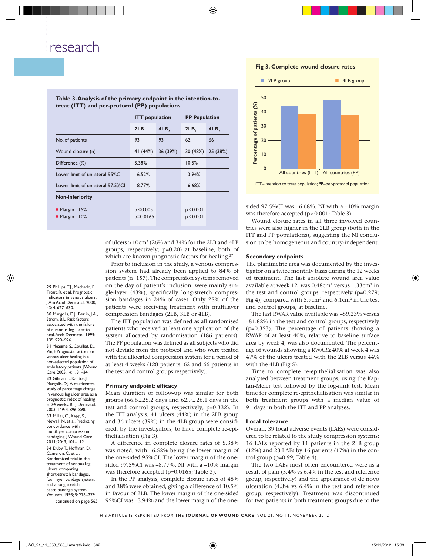⊕

### research

**Table 3. Analysis of the primary endpoint in the intention-totreat (ITT) and per-protocol (PP) populations**

|                                                     | <b>ITT</b> population   |          | <b>PP Population</b>   |          |
|-----------------------------------------------------|-------------------------|----------|------------------------|----------|
|                                                     | 2LB                     | 4LB      | 2LB                    | 4LB      |
| No. of patients                                     | 93                      | 93       | 62                     | 66       |
| Wound closure (n)                                   | 41 (44%)                | 36 (39%) | 30 (48%)               | 25 (38%) |
| Difference (%)                                      | 5.38%                   |          | 10.5%                  |          |
| Lower limit of unilateral 95%CI                     | $-6.52%$                |          | $-3.94%$               |          |
| Lower limit of unilateral 97.5%CI                   | $-8.77%$                |          | $-6.68%$               |          |
| <b>Non-inferiority</b>                              |                         |          |                        |          |
| $\bullet$ Margin $-15%$<br>$\bullet$ Margin $-10\%$ | p < 0.005<br>$p=0.0165$ |          | p < 0.001<br>p < 0.001 |          |

of ulcers >10cm2 (26% and 34% for the 2LB and 4LB groups, respectively; p=0.20) at baseline, both of which are known prognostic factors for healing.<sup>27</sup>

Prior to inclusion in the study, a venous compression system had already been applied to 84% of patients (n=157). The compression systems removed on the day of patient's inclusion, were mainly single-layer (43%), specifically long-stretch compression bandages in 24% of cases. Only 28% of the patients were receiving treatment with multilayer compression bandages (2LB, 3LB or 4LB).

The ITT population was defined as all randomised patients who received at least one application of the system allocated by randomisation (186 patients). The PP population was defined as all subjects who did not deviate from the protocol and who were treated with the allocated compression system for a period of at least 4 weeks (128 patients; 62 and 66 patients in the test and control groups respectively).

### **Primary endpoint: efficacy**

Mean duration of follow-up was similar for both groups  $(66.6 \pm 25.2$  days and  $62.9 \pm 26.1$  days in the test and control groups, respectively; p=0.332). In the ITT analysis, 41 ulcers (44%) in the 2LB group and 36 ulcers (39%) in the 4LB group were considered, by the investigators, to have complete re-epithelialisation (Fig 3).

A difference in complete closure rates of 5.38% was noted, with –6.52% being the lower margin of the one-sided 95%CI. The lower margin of the onesided 97.5%CI was –8.77%. NI with a –10% margin was therefore accepted (p=0.0165; Table 3).

In the PP analysis, complete closure rates of 48% and 38% were obtained, giving a difference of 10.5% in favour of 2LB. The lower margin of the one-sided 95%CI was –3.94% and the lower margin of the one-





ITT=intention to treat population; PP=per-protocol population

sided 97.5%CI was –6.68%. NI with a –10% margin was therefore accepted  $(p<0.001$ ; Table 3).

Wound closure rates in all three involved countries were also higher in the 2LB group (both in the ITT and PP populations), suggesting the NI conclusion to be homogeneous and country-independent.

#### **Secondary endpoints**

The planimetric area was documented by the investigator on a twice monthly basis during the 12 weeks of treatment. The last absolute wound area value available at week 12 was 0.48cm2 versus 1.33cm2 in the test and control groups, respectively (p=0.279; Fig 4), compared with 5.9cm<sup>2</sup> and 6.1cm<sup>2</sup> in the test and control groups, at baseline.

The last RWAR value available was –89.23% versus –81.82% in the test and control groups, respectively (p=0.353). The percentage of patients showing a RWAR of at least 40%, relative to baseline surface area by week 4, was also documented. The percentage of wounds showing a RWAR≥40% at week 4 was 47% of the ulcers treated with the 2LB versus 44% with the 4LB (Fig 5).

Time to complete re-epithelialisation was also analysed between treatment groups, using the Kaplan-Meier test followed by the log-rank test. Mean time for complete re-epithelialisation was similar in both treatment groups with a median value of 91 days in both the ITT and PP analyses.

### **Local tolerance**

Overall, 39 local adverse events (LAEs) were considered to be related to the study compression systems; 16 LAEs reported by 11 patients in the 2LB group (12%) and 23 LAEs by 16 patients (17%) in the control group (p=0.99; Table 4).

The two LAEs most often encountered were as a result of pain (5.4% vs 6.4% in the test and reference group, respectively) and the appearance of de novo ulceration (4.3% vs 6.4% in the test and reference group, respectively). Treatment was discontinued for two patients in both treatment groups due to the

THIS ARTICLE IS REPRINTED FROM THE **JOURNAL OF WOUND CARE** VOL 21, NO 11, NOVEMBER 2012

**30** Margolis, D.J., Berlin, J.A., Strom, B.L. Risk factors associated with the failure of a venous leg ulcer to heal. Arch Dermatol. 1999; 135: 920–926. **31** Meaume, S., Couilliet, D., Vin, F. Prognostic factors for venous ulcer healing in a

**29** Phillips, T.J., Machado, F., Trout, R. et al. Prognostic indicators in venous ulcers. J Am Acad Dermatol. 2000; 43: 4, 627–630.

⊕

non-selected population of ambulatory patients. J Wound Care. 2005; 14: 1, 31–34. **32** Gilman, T., Kantor, J., Margolis, D.J. A multicentre study of percentage change in venous leg ulcer area as a prognostic index of healing at 24 weeks. Br J Dermatol. 2003; 149: 4, 896–898. **33** Miller, C., Kapp, S., Newall, N. et al. Predicting concordance with multilayer compression bandaging. J Wound Care. 2011; 20: 3, 101–112. **34** Duby, T., Hoffman, D., Cameron, C. et al. Randomized trial in the treatment of venous leg ulcers comparing short-stretch bandages, four layer bandage system, and a long stretch paste-bandage system. Wounds. 1993; 5: 276–279. continued on page 565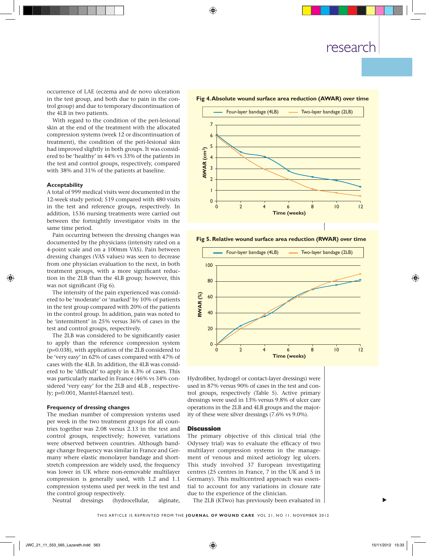occurrence of LAE (eczema and de novo ulceration in the test group, and both due to pain in the control group) and due to temporary discontinuation of the 4LB in two patients.

With regard to the condition of the peri-lesional skin at the end of the treatment with the allocated compression systems (week 12 or discontinuation of treatment), the condition of the peri-lesional skin had improved slightly in both groups. It was considered to be 'healthy' in 44% vs 33% of the patients in the test and control groups, respectively, compared with 38% and 31% of the patients at baseline.

### **Acceptability**

⊕

A total of 999 medical visits were documented in the 12-week study period; 519 compared with 480 visits in the test and reference groups, respectively. In addition, 1536 nursing treatments were carried out between the fortnightly investigator visits in the same time period.

Pain occurring between the dressing changes was documented by the physicians (intensity rated on a 4-point scale and on a 100mm VAS). Pain between dressing changes (VAS values) was seen to decrease from one physician evaluation to the next, in both treatment groups, with a more significant reduction in the 2LB than the 4LB group; however, this was not significant (Fig 6).

The intensity of the pain experienced was considered to be 'moderate' or 'marked' by 10% of patients in the test group compared with 20% of the patients in the control group. In addition, pain was noted to be 'intermittent' in 25% versus 36% of cases in the test and control groups, respectively.

The 2LB was considered to be significantly easier to apply than the reference compression system (p=0.038), with application of the 2LB considered to be 'very easy' in 62% of cases compared with 47% of cases with the 4LB. In addition, the 4LB was considered to be 'difficult' to apply in 4.3% of cases. This was particularly marked in France (46% vs 34% considered 'very easy' for the 2LB and 4LB , respectively; p=0.001, Mantel-Haenzel test).

### **Frequency of dressing changes**

The median number of compression systems used per week in the two treatment groups for all countries together was 2.08 versus 2.13 in the test and control groups, respectively; however, variations were observed between countries. Although bandage change frequency was similar in France and Germany where elastic monolayer bandage and shortstretch compression are widely used, the frequency was lower in UK where non-removable multilayer compression is generally used, with 1.2 and 1.1 compression systems used per week in the test and the control group respectively.

Neutral dressings (hydrocellular, alginate,



**Fig 5. Relative wound surface area reduction (RWAR) over time**



Hydrofiber, hydrogel or contact-layer dressings) were used in 87% versus 90% of cases in the test and control groups, respectively (Table 5). Active primary dressings were used in 13% versus 9.8% of ulcer care operations in the 2LB and 4LB groups and the majority of these were silver dressings (7.6% vs 9.0%).

#### **Discussion**

The primary objective of this clinical trial (the Odyssey trial) was to evaluate the efficacy of two multilayer compression systems in the management of venous and mixed aetiology leg ulcers. This study involved 37 European investigating centres (25 centres in France, 7 in the UK and 5 in Germany). This multicentred approach was essential to account for any variations in closure rate due to the experience of the clinician.

The 2LB (KTwo) has previously been evaluated in

s

⊕

THIS ARTICLE IS REPRINTED FROM THE **JOURNAL OF WOUND CARE** VOL 21, NO 11, NOVEMBER 2012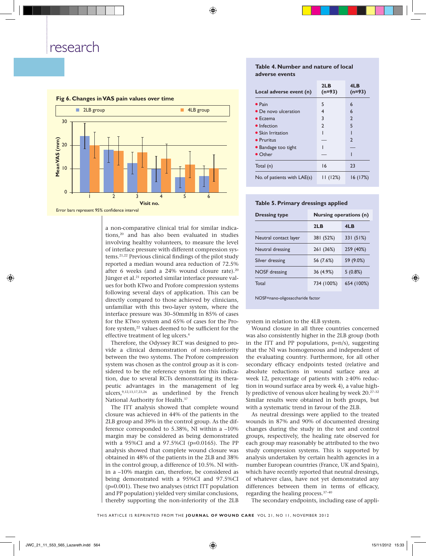### research



a non-comparative clinical trial for similar indications,<sup>20</sup> and has also been evaluated in studies involving healthy volunteers, to measure the level of interface pressure with different compression systems.21,22 Previous clinical findings of the pilot study reported a median wound area reduction of 72.5% after 6 weeks (and a 24% wound closure rate).<sup>20</sup> Jünger et al.<sup>21</sup> reported similar interface pressure values for both KTwo and Profore compression systems following several days of application. This can be directly compared to those achieved by clinicians, unfamiliar with this two-layer system, where the interface pressure was 30–50mmHg in 85% of cases for the KTwo system and 65% of cases for the Profore system,<sup>22</sup> values deemed to be sufficient for the effective treatment of leg ulcers.<sup>4</sup>

Therefore, the Odyssey RCT was designed to provide a clinical demonstration of non-inferiority between the two systems. The Profore compression system was chosen as the control group as it is considered to be the reference system for this indication, due to several RCTs demonstrating its therapeutic advantages in the management of leg ulcers,9,12,13,17,23,26 as underlined by the French National Authority for Health.<sup>37</sup>

The ITT analysis showed that complete wound closure was achieved in 44% of the patients in the 2LB group and 39% in the control group. As the difference corresponded to 5.38%, NI within a –10% margin may be considered as being demonstrated with a 95%CI and a 97.5%CI (p=0.0165). The PP analysis showed that complete wound closure was obtained in 48% of the patients in the 2LB and 38% in the control group, a difference of 10.5%. NI within a –10% margin can, therefore, be considered as being demonstrated with a 95%CI and 97.5%CI (p=0.001). These two analyses (strict ITT population and PP population) yielded very similar conclusions, thereby supporting the non-inferiority of the 2LB

### **Table 4. Number and nature of local adverse events**

| Local adverse event (n)      | 2LB<br>$(n=93)$ | 4LB<br>$(n=93)$ |
|------------------------------|-----------------|-----------------|
| $\bullet$ Pain               | 5               | 6               |
| $\bullet$ De novo ulceration | 4               | 6               |
| $\bullet$ Fczema             | 3               | $\overline{2}$  |
| • Infection                  | $\mathfrak{p}$  | 5               |
| • Skin Irritation            | ı               |                 |
| • Pruritus                   |                 | $\mathcal{P}$   |
| • Bandage too tight          |                 |                 |
| $\bullet$ Other              |                 |                 |
| Total (n)                    | 16              | 23              |
| No. of patients with LAE(s)  | 11 (12%)        | 16(17%)         |

### **Table 5. Primary dressings applied**

| <b>Dressing type</b>  | <b>Nursing operations (n)</b> |            |  |
|-----------------------|-------------------------------|------------|--|
|                       | 2LB                           | 4LB        |  |
| Neutral contact layer | 381 (52%)                     | 331 (51%)  |  |
| Neutral dressing      | 261 (36%)                     | 259 (40%)  |  |
| Silver dressing       | 56 (7.6%)                     | 59 (9.0%)  |  |
| <b>NOSF</b> dressing  | 36 (4.9%)                     | 5(0.8%)    |  |
| Total                 | 734 (100%)                    | 654 (100%) |  |

NOSF=nano-oligosaccharide factor

system in relation to the 4LB system.

Wound closure in all three countries concerned was also consistently higher in the 2LB group (both in the ITT and PP populations,  $p=n/s$ ), suggesting that the NI was homogeneous and independent of the evaluating country. Furthermore, for all other secondary efficacy endpoints tested (relative and absolute reductions in wound surface area at week 12, percentage of patients with ≥40% reduction in wound surface area by week 4), a value highly predictive of venous ulcer healing by week 20.27–32 Similar results were obtained in both groups, but with a systematic trend in favour of the 2LB.

As neutral dressings were applied to the treated wounds in 87% and 90% of documented dressing changes during the study in the test and control groups, respectively, the healing rate observed for each group may reasonably be attributed to the two study compression systems. This is supported by analysis undertaken by certain health agencies in a number European countries (France, UK and Spain), which have recently reported that neutral dressings, of whatever class, have not yet demonstrated any differences between them in terms of efficacy, regarding the healing process.37–40

The secondary endpoints, including ease of appli-

THIS ARTICLE IS REPRINTED FROM THE **JOURNAL OF WOUND CARE** VOL 21, NO 11, NOVEMBER 2012

⊕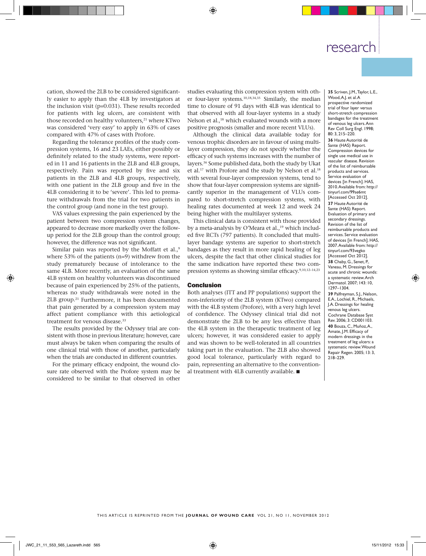⊕

### research

cation, showed the 2LB to be considered significantly easier to apply than the 4LB by investigators at the inclusion visit (p=0.031). These results recorded for patients with leg ulcers, are consistent with those recorded on healthy volunteers,<sup>21</sup> where KTwo was considered 'very easy' to apply in 63% of cases compared with 47% of cases with Profore.

Regarding the tolerance profiles of the study compression systems, 16 and 23 LAEs, either possibly or definitely related to the study systems, were reported in 11 and 16 patients in the 2LB and 4LB groups, respectively. Pain was reported by five and six patients in the 2LB and 4LB groups, respectively, with one patient in the 2LB group and five in the 4LB considering it to be 'severe'. This led to premature withdrawals from the trial for two patients in the control group (and none in the test group).

VAS values expressing the pain experienced by the patient between two compression system changes, appeared to decrease more markedly over the followup period for the 2LB group than the control group; however, the difference was not significant.

Similar pain was reported by the Moffatt et al., $9$ where 53% of the patients (n=9) withdrew from the study prematurely because of intolerance to the same 4LB. More recently, an evaluation of the same 4LB system on healthy volunteers was discontinued because of pain experienced by 25% of the patients, whereas no study withdrawals were noted in the 2LB group.21 Furthermore, it has been documented that pain generated by a compression system may affect patient compliance with this aetiological treatment for venous disease.<sup>33</sup>

The results provided by the Odyssey trial are consistent with those in previous literature; however, care must always be taken when comparing the results of one clinical trial with those of another, particularly when the trials are conducted in different countries.

For the primary efficacy endpoint, the wound closure rate observed with the Profore system may be considered to be similar to that observed in other

studies evaluating this compression system with other four-layer systems.10,18,34,35 Similarly, the median time to closure of 91 days with 4LB was identical to that observed with all four-layer systems in a study Nelson et al.,<sup>18</sup> which evaluated wounds with a more positive prognosis (smaller and more recent VLUs).

Although the clinical data available today for venous trophic disorders are in favour of using multilayer compression, they do not specify whether the efficacy of such systems increases with the number of layers.36 Some published data, both the study by Ukat et al.<sup>17</sup> with Profore and the study by Nelson et al.<sup>18</sup> with several four-layer compression systems, tend to show that four-layer compression systems are significantly superior in the management of VLUs compared to short-stretch compression systems, with healing rates documented at week 12 and week 24 being higher with the multilayer systems.

This clinical data is consistent with those provided by a meta-analysis by O'Meara et al.,<sup>19</sup> which included five RCTs (797 patients). It concluded that multilayer bandage systems are superior to short-stretch bandages as they result in more rapid healing of leg ulcers, despite the fact that other clinical studies for the same indication have reported these two compression systems as showing similar efficacy.9,10,12–14,23

### Conclusion

Both analyses (ITT and PP populations) support the non-inferiority of the 2LB system (KTwo) compared with the 4LB system (Profore), with a very high level of confidence. The Odyssey clinical trial did not demonstrate the 2LB to be any less effective than the 4LB system in the therapeutic treatment of leg ulcers; however, it was considered easier to apply and was shown to be well-tolerated in all countries taking part in the evaluation. The 2LB also showed good local tolerance, particularly with regard to pain, representing an alternative to the conventional treatment with 4LB currently available.  $\blacksquare$ 

**35** Scriven, J.M., Taylor, L.E., Wood, A.J. et al. A prospective randomized trial of four layer versus short-stretch compression bandages for the treatment of venous leg ulcers. Ann Rev Coll Surg Engl. 1998; 80: 3, 215–220.

**36** Haute Autorité de Sante (HAS) Report. Compression devices for single use medical use in vascular disease. Revision of the list of reimbursable products and services. Service evaluation of devices [in French]. HAS, 2010. Available from: http:// tinyurl.com/99se6mt [Accessed Oct 2012]. **37** Haute Autorité de Sante (HAS) Report. Evaluation of primary and secondary dressings. Revision of the list of reimbursable products and services. Service evaluation of devices [in French]. HAS, 2007. Available from: http:// tinyurl.com/93vegko [Accessed Oct 2012]. **38** Chaby, G., Senet, P., Vaneau, M. Dressings for acute and chronic wounds: a systematic review. Arch Dermatol. 2007; 143: 10, 1297–1304.

**39** Palfreyman, S.J., Nelson, E.A., Lochiel, R., Michaels, J.A. Dressings for healing venous leg ulcers. Cochrane Database Syst Rev. 2006; 3: CD001103. **40** Bouza, C., Muñoz, A., Amate, J.M. Efficacy of modern dressings in the treatment of leg ulcers: a systematic review. Wound Repair Regen. 2005; 13: 3, 218–229.

⊕

THIS ARTICLE IS REPRINTED FROM THE **JOURNAL OF WOUND CARE** VOL 21, NO 11, NOVEMBER 2012